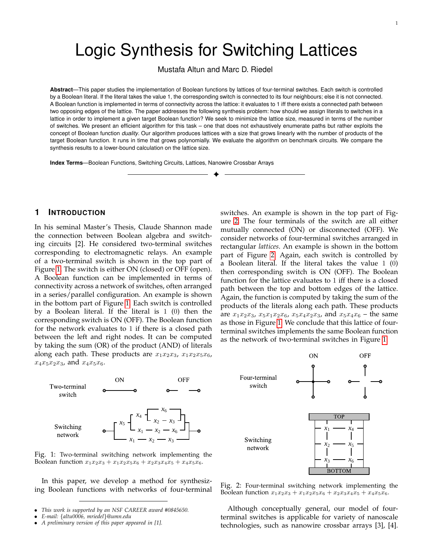# Logic Synthesis for Switching Lattices

Mustafa Altun and Marc D. Riedel

**Abstract**—This paper studies the implementation of Boolean functions by lattices of four-terminal switches. Each switch is controlled by a Boolean literal. If the literal takes the value 1, the corresponding switch is connected to its four neighbours; else it is not connected. A Boolean function is implemented in terms of connectivity across the lattice: it evaluates to 1 iff there exists a connected path between two opposing edges of the lattice. The paper addresses the following synthesis problem: how should we assign literals to switches in a lattice in order to implement a given target Boolean function? We seek to minimize the lattice size, measured in terms of the number of switches. We present an efficient algorithm for this task – one that does not exhaustively enumerate paths but rather exploits the concept of Boolean function *duality*. Our algorithm produces lattices with a size that grows linearly with the number of products of the target Boolean function. It runs in time that grows polynomially. We evaluate the algorithm on benchmark circuits. We compare the synthesis results to a lower-bound calculation on the lattice size.

✦

**Index Terms**—Boolean Functions, Switching Circuits, Lattices, Nanowire Crossbar Arrays

## **1 INTRODUCTION**

In his seminal Master's Thesis, Claude Shannon made the connection between Boolean algebra and switching circuits [2]. He considered two-terminal switches corresponding to electromagnetic relays. An example of a two-terminal switch is shown in the top part of Figure [1.](#page-0-0) The switch is either ON (closed) or OFF (open). A Boolean function can be implemented in terms of connectivity across a network of switches, often arranged in a series/parallel configuration. An example is shown in the bottom part of Figure [1.](#page-0-0) Each switch is controlled by a Boolean literal. If the literal is 1 (0) then the corresponding switch is ON (OFF). The Boolean function for the network evaluates to 1 if there is a closed path between the left and right nodes. It can be computed by taking the sum (OR) of the product (AND) of literals along each path. These products are  $x_1x_2x_3$ ,  $x_1x_2x_5x_6$ ,  $x_4x_5x_2x_3$ , and  $x_4x_5x_6$ .

switches. An example is shown in the top part of Figure [2.](#page-0-1) The four terminals of the switch are all either mutually connected (ON) or disconnected (OFF). We consider networks of four-terminal switches arranged in rectangular *lattices*. An example is shown in the bottom part of Figure [2.](#page-0-1) Again, each switch is controlled by a Boolean literal. If the literal takes the value 1 (0) then corresponding switch is ON (OFF). The Boolean function for the lattice evaluates to 1 iff there is a closed path between the top and bottom edges of the lattice. Again, the function is computed by taking the sum of the products of the literals along each path. These products are  $x_1x_2x_3$ ,  $x_5x_1x_2x_6$ ,  $x_5x_4x_2x_3$ , and  $x_5x_4x_6$  – the same as those in Figure [1.](#page-0-0) We conclude that this lattice of fourterminal switches implements the same Boolean function as the network of two-terminal switches in Figure [1.](#page-0-0)



<span id="page-0-0"></span>

In this paper, we develop a method for synthesizing Boolean functions with networks of four-terminal

• *A preliminary version of this paper appeared in [1].*



<span id="page-0-1"></span>Fig. 2: Four-terminal switching network implementing the Boolean function  $x_1x_2x_3 + x_1x_2x_5x_6 + x_2x_3x_4x_5 + x_4x_5x_6$ .

Although conceptually general, our model of fourterminal switches is applicable for variety of nanoscale technologies, such as nanowire crossbar arrays [3], [4].

<sup>•</sup> *This work is supported by an NSF CAREER award #0845650.*

<sup>•</sup> *E-mail:* {*altu0006, mriedel*}*@umn.edu*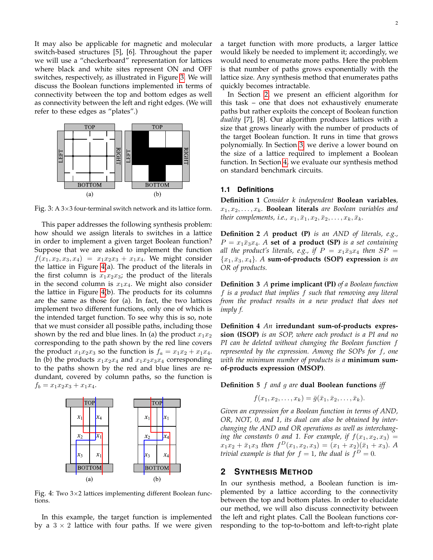It may also be applicable for magnetic and molecular switch-based structures [5], [6]. Throughout the paper we will use a "checkerboard" representation for lattices where black and white sites represent ON and OFF switches, respectively, as illustrated in Figure [3.](#page-1-0) We will discuss the Boolean functions implemented in terms of connectivity between the top and bottom edges as well as connectivity between the left and right edges. (We will refer to these edges as "plates".)



<span id="page-1-0"></span>Fig. 3: A  $3\times3$  four-terminal switch network and its lattice form.

This paper addresses the following synthesis problem: how should we assign literals to switches in a lattice in order to implement a given target Boolean function? Suppose that we are asked to implement the function  $f(x_1, x_2, x_3, x_4) = x_1x_2x_3 + x_1x_4$ . We might consider the lattice in Figure [4\(](#page-1-1)a). The product of the literals in the first column is  $x_1x_2x_3$ ; the product of the literals in the second column is  $x_1x_4$ . We might also consider the lattice in Figure [4\(](#page-1-1)b). The products for its columns are the same as those for (a). In fact, the two lattices implement two different functions, only one of which is the intended target function. To see why this is so, note that we must consider all possible paths, including those shown by the red and blue lines. In (a) the product  $x_1x_2$ corresponding to the path shown by the red line covers the product  $x_1x_2x_3$  so the function is  $f_a = x_1x_2 + x_1x_4$ . In (b) the products  $x_1x_2x_4$  and  $x_1x_2x_3x_4$  corresponding to the paths shown by the red and blue lines are redundant, covered by column paths, so the function is  $f_b = x_1x_2x_3 + x_1x_4.$ 



<span id="page-1-1"></span>Fig. 4: Two 3×2 lattices implementing different Boolean functions.

In this example, the target function is implemented by a  $3 \times 2$  lattice with four paths. If we were given a target function with more products, a larger lattice would likely be needed to implement it; accordingly, we would need to enumerate more paths. Here the problem is that number of paths grows exponentially with the lattice size. Any synthesis method that enumerates paths quickly becomes intractable.

In Section [2,](#page-1-2) we present an efficient algorithm for this task – one that does not exhaustively enumerate paths but rather exploits the concept of Boolean function *duality* [7], [8]. Our algorithm produces lattices with a size that grows linearly with the number of products of the target Boolean function. It runs in time that grows polynomially. In Section [3,](#page-5-0) we derive a lower bound on the size of a lattice required to implement a Boolean function. In Section [4,](#page-8-0) we evaluate our synthesis method on standard benchmark circuits.

## **1.1 Definitions**

**Definition 1** *Consider k independent* **Boolean variables***,*  $x_1, x_2, \ldots, x_k$ . **Boolean literals** are Boolean variables and *their complements, i.e.,*  $x_1, \bar{x}_1, x_2, \bar{x}_2, \ldots, x_k, \bar{x}_k$ *.* 

**Definition 2** *A* **product (P)** *is an AND of literals, e.g.,*  $P = x_1 \bar{x}_3 x_4$ . A **set of a product (SP)** *is a set containing all the product's literals, e.g., if*  $P = x_1 \bar{x}_3 x_4$  *then*  $SP = x_2 \bar{x}_4$  ${x_1, \bar{x}_3, x_4}$ *. A* sum-of-products (SOP) expression *is an OR of products.*

**Definition 3** *A* **prime implicant (PI)** *of a Boolean function* f *is a product that implies* f *such that removing any literal from the product results in a new product that does not imply f.*

**Definition 4** *An* **irredundant sum-of-products expression (ISOP)** *is an SOP, where each product is a PI and no PI can be deleted without changing the Boolean function* f *represented by the expression. Among the SOPs for* f*, one with the minimum number of products is a* **minimum sumof-products expression (MSOP)***.*

**Definition 5** f *and* g *are* **dual Boolean functions** *iff*

$$
f(x_1,x_2,\ldots,x_k)=\overline{g}(\overline{x}_1,\overline{x}_2,\ldots,\overline{x}_k).
$$

*Given an expression for a Boolean function in terms of AND, OR, NOT, 0, and 1, its dual can also be obtained by interchanging the AND and OR operations as well as interchanging the constants 0 and 1. For example, if*  $f(x_1, x_2, x_3) =$  $x_1x_2 + \bar{x}_1x_3$  then  $f^D(x_1, x_2, x_3) = (x_1 + x_2)(\bar{x}_1 + x_3)$ . A *trivial example is that for*  $f = 1$ *, the dual is*  $f^D = 0$ *.* 

# <span id="page-1-2"></span>**2 SYNTHESIS METHOD**

In our synthesis method, a Boolean function is implemented by a lattice according to the connectivity between the top and bottom plates. In order to elucidate our method, we will also discuss connectivity between the left and right plates. Call the Boolean functions corresponding to the top-to-bottom and left-to-right plate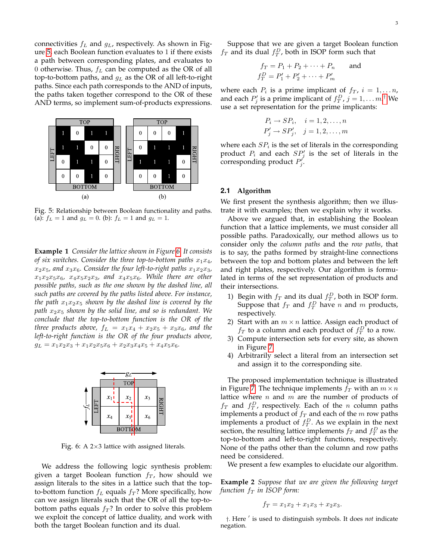connectivities  $f_L$  and  $g_L$ , respectively. As shown in Figure [5,](#page-2-0) each Boolean function evaluates to 1 if there exists a path between corresponding plates, and evaluates to 0 otherwise. Thus,  $f_L$  can be computed as the OR of all top-to-bottom paths, and  $g<sub>L</sub>$  as the OR of all left-to-right paths. Since each path corresponds to the AND of inputs, the paths taken together correspond to the OR of these AND terms, so implement sum-of-products expressions.



<span id="page-2-0"></span>Fig. 5: Relationship between Boolean functionality and paths. (a):  $f_L = 1$  and  $g_L = 0$ . (b):  $f_L = 1$  and  $g_L = 1$ .

**Example 1** *Consider the lattice shown in Figure [6.](#page-2-1) It consists of six switches. Consider the three top-to-bottom paths*  $x_1x_4$ ,  $x_2x_5$ , and  $x_3x_6$ . Consider the four left-to-right paths  $x_1x_2x_3$ ,  $x_1x_2x_5x_6$ ,  $x_4x_5x_2x_3$ , and  $x_4x_5x_6$ . While there are other *possible paths, such as the one shown by the dashed line, all such paths are covered by the paths listed above. For instance, the path*  $x_1x_2x_5$  *shown by the dashed line is covered by the path* x2x<sup>5</sup> *shown by the solid line, and so is redundant. We conclude that the top-to-bottom function is the OR of the three products above,*  $f_L = x_1x_4 + x_2x_5 + x_3x_6$ *, and the left-to-right function is the OR of the four products above,*  $g_L = x_1x_2x_3 + x_1x_2x_5x_6 + x_2x_3x_4x_5 + x_4x_5x_6.$ 



<span id="page-2-1"></span>Fig. 6: A 2×3 lattice with assigned literals.

We address the following logic synthesis problem: given a target Boolean function  $f_T$ , how should we assign literals to the sites in a lattice such that the topto-bottom function  $f_L$  equals  $f_T$ ? More specifically, how can we assign literals such that the OR of all the top-tobottom paths equals  $f_T$ ? In order to solve this problem we exploit the concept of lattice duality, and work with both the target Boolean function and its dual.

Suppose that we are given a target Boolean function  $f_T$  and its dual  $f_T^D$ , both in ISOP form such that

$$
f_T = P_1 + P_2 + \dots + P_n
$$
 and  

$$
f_T^D = P_1' + P_2' + \dots + P_m'
$$

where each  $P_i$  is a prime implicant of  $f_T$ ,  $i = 1, \ldots n$ , and each  $P'_j$  is a prime implicant of  $f_T^D$ ,  $j = 1, \ldots m$ .<sup>[†](#page-2-2)</sup> We use a set representation for the prime implicants:

$$
P_i \rightarrow SP_i, \quad i = 1, 2, \dots, n
$$
  

$$
P'_j \rightarrow SP'_j, \quad j = 1, 2, \dots, m
$$

where each  $SP_i$  is the set of literals in the corresponding product  $P_i$  and each  $SP'_j$  is the set of literals in the corresponding product  $P'_j$ .

#### **2.1 Algorithm**

We first present the synthesis algorithm; then we illustrate it with examples; then we explain why it works.

Above we argued that, in establishing the Boolean function that a lattice implements, we must consider all possible paths. Paradoxically, our method allows us to consider only the *column paths* and the *row paths*, that is to say, the paths formed by straight-line connections between the top and bottom plates and between the left and right plates, respectively. Our algorithm is formulated in terms of the set representation of products and their intersections.

- 1) Begin with  $f_T$  and its dual  $f_T^D$ , both in ISOP form. Suppose that  $f_T$  and  $f_T^D$  have n and m products, respectively.
- 2) Start with an  $m \times n$  lattice. Assign each product of  $f_T$  to a column and each product of  $f_T^D$  to a row.
- 3) Compute intersection sets for every site, as shown in Figure [7.](#page-3-0)
- 4) Arbitrarily select a literal from an intersection set and assign it to the corresponding site.

The proposed implementation technique is illustrated in Figure [7.](#page-3-0) The technique implements  $f_T$  with an  $m \times n$ lattice where  $n$  and  $m$  are the number of products of  $f_T$  and  $f_T^D$ , respectively. Each of the *n* column paths implements a product of  $f_T$  and each of the  $m$  row paths implements a product of  $f_T^D$ . As we explain in the next section, the resulting lattice implements  $f_T$  and  $f_T^D$  as the top-to-bottom and left-to-right functions, respectively. None of the paths other than the column and row paths need be considered.

We present a few examples to elucidate our algorithm.

**Example 2** *Suppose that we are given the following target function*  $f_T$  *in ISOP form:* 

$$
f_T = x_1 x_2 + x_1 x_3 + x_2 x_3.
$$

<span id="page-2-2"></span><sup>†</sup>. Here ' is used to distinguish symbols. It does *not* indicate negation.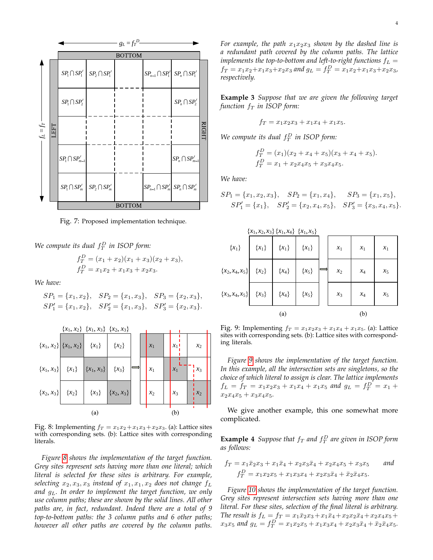

<span id="page-3-0"></span>Fig. 7: Proposed implementation technique.

We compute its dual  $f_T^D$  in ISOP form:

$$
f_T^D = (x_1 + x_2)(x_1 + x_3)(x_2 + x_3),
$$
  
\n
$$
f_T^D = x_1x_2 + x_1x_3 + x_2x_3.
$$

*We have:*

$$
SP_1 = \{x_1, x_2\},
$$
  $SP_2 = \{x_1, x_3\},$   $SP_3 = \{x_2, x_3\},$   
\n $SP'_1 = \{x_1, x_2\},$   $SP'_2 = \{x_1, x_3\},$   $SP'_3 = \{x_2, x_3\}.$ 



<span id="page-3-1"></span>Fig. 8: Implementing  $f_T = x_1x_2+x_1x_3+x_2x_3$ . (a): Lattice sites with corresponding sets. (b): Lattice sites with corresponding literals.

*Figure [8](#page-3-1) shows the implementation of the target function. Grey sites represent sets having more than one literal; which literal is selected for these sites is arbitrary. For example, selecting*  $x_2, x_3, x_3$  *instead of*  $x_1, x_1, x_2$  *does not change*  $f_L$ *and* gL*. In order to implement the target function, we only use column paths; these are shown by the solid lines. All other paths are, in fact, redundant. Indeed there are a total of 9 top-to-bottom paths: the 3 column paths and 6 other paths; however all other paths are covered by the column paths.* For example, the path  $x_1x_2x_3$  *shown by the dashed line is a redundant path covered by the column paths. The lattice implements the top-to-bottom and left-to-right functions*  $f_L$  =  $f_T = x_1x_2 + x_1x_3 + x_2x_3$  and  $g_L = f_T^D = x_1x_2 + x_1x_3 + x_2x_3$ , *respectively.*

**Example 3** *Suppose that we are given the following target function*  $f_T$  *in ISOP form:* 

$$
f_T = x_1 x_2 x_3 + x_1 x_4 + x_1 x_5.
$$

We compute its dual  $f_T^D$  in ISOP form:

$$
f_T^D = (x_1)(x_2 + x_4 + x_5)(x_3 + x_4 + x_5).
$$
  
\n
$$
f_T^D = x_1 + x_2x_4x_5 + x_3x_4x_5.
$$

*We have:*

$$
SP_1 = \{x_1, x_2, x_3\}, \quad SP_2 = \{x_1, x_4\}, \quad SP_3 = \{x_1, x_5\},
$$
  

$$
SP'_1 = \{x_1\}, \quad SP'_2 = \{x_2, x_4, x_5\}, \quad SP'_3 = \{x_3, x_4, x_5\}.
$$



<span id="page-3-2"></span>Fig. 9: Implementing  $f_T = x_1x_2x_3 + x_1x_4 + x_1x_5$ . (a): Lattice sites with corresponding sets. (b): Lattice sites with corresponding literals.

*Figure [9](#page-3-2) shows the implementation of the target function. In this example, all the intersection sets are singletons, so the choice of which literal to assign is clear. The lattice implements*  $f_L = f_T = x_1x_2x_3 + x_1x_4 + x_1x_5$  and  $g_L = f_T^D = x_1 + x_2x_3 + x_1x_4 + x_2x_5$  $x_2x_4x_5 + x_3x_4x_5$ 

We give another example, this one somewhat more complicated.

**Example 4** Suppose that  $f_T$  and  $f_T^D$  are given in ISOP form *as follows:*

$$
f_T = x_1 \bar{x}_2 x_3 + x_1 \bar{x}_4 + x_2 x_3 \bar{x}_4 + x_2 x_4 x_5 + x_3 x_5
$$
 and  

$$
f_T^D = x_1 x_2 x_5 + x_1 x_3 x_4 + x_2 x_3 \bar{x}_4 + \bar{x}_2 \bar{x}_4 x_5.
$$

*Figure [10](#page-4-0) shows the implementation of the target function. Grey sites represent intersection sets having more than one literal. For these sites, selection of the final literal is arbitrary. The result is*  $f_L = f_T = x_1 \bar{x}_2 x_3 + x_1 \bar{x}_4 + x_2 x_2 \bar{x}_4 + x_2 x_4 x_5 +$  $x_3x_5$  and  $g_L = f_T^D = x_1x_2x_5 + x_1x_3x_4 + x_2x_3\bar{x}_4 + \bar{x}_2\bar{x}_4x_5.$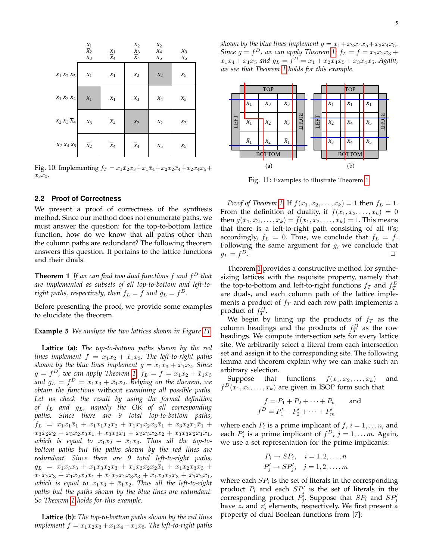

<span id="page-4-0"></span>Fig. 10: Implementing  $f_T = x_1\bar{x}_2x_3 + x_1\bar{x}_4 + x_2x_2\bar{x}_4 + x_2x_4x_5 +$  $x_3x_5.$ 

#### **2.2 Proof of Correctness**

We present a proof of correctness of the synthesis method. Since our method does not enumerate paths, we must answer the question: for the top-to-bottom lattice function, how do we know that all paths other than the column paths are redundant? The following theorem answers this question. It pertains to the lattice functions and their duals.

<span id="page-4-2"></span>**Theorem 1** *If we can find two dual functions* f *and* f <sup>D</sup> *that are implemented as subsets of all top-to-bottom and left-to*right paths, respectively, then  $f_L = f$  and  $g_L = f^D$ .

Before presenting the proof, we provide some examples to elucidate the theorem.

**Example 5** *We analyze the two lattices shown in Figure [11.](#page-4-1)*

**Lattice (a):** *The top-to-bottom paths shown by the red lines implement*  $f = x_1x_2 + \bar{x}_1x_3$ *. The left-to-right paths shown by the blue lines implement*  $g = x_1x_3 + \bar{x}_1x_2$ *. Since*  $g = f<sup>D</sup>$ , we can apply Theorem [1:](#page-4-2)  $f<sub>L</sub> = f = x<sub>1</sub>x<sub>2</sub> + \bar{x}<sub>1</sub>x<sub>3</sub>$ and  $g_L = f^D = x_1x_3 + \bar{x}_1x_2$ . Relying on the theorem, we *obtain the functions* without *examining all possible paths. Let us check the result by using the formal definition of* f<sup>L</sup> *and* gL*, namely the OR of all corresponding paths. Since there are 9 total top-to-bottom paths,*  $f_L = x_1x_1\bar{x}_1 + x_1x_1x_2x_2 + x_1x_1x_2x_3\bar{x}_1 + x_3x_2x_1\bar{x}_1 +$  $x_3x_2x_2 + x_3x_2x_3\bar{x}_1 + x_3x_3\bar{x}_1 + x_3x_3x_2x_2 + x_3x_3x_2x_1\bar{x}_1$ which is equal to  $x_1x_2 + \bar{x}_1x_3$ . Thus all the top-to*bottom paths but the paths shown by the red lines are redundant. Since there are 9 total left-to-right paths,*  $g_L = x_1x_3x_3 + x_1x_3x_2x_3 + x_1x_3x_2x_2\overline{x}_1 + x_1x_2x_3x_3 +$  $x_1x_2x_3 + x_1x_2x_2\bar{x}_1 + \bar{x}_1x_2x_2x_3x_3 + \bar{x}_1x_2x_2x_3 + \bar{x}_1x_2\bar{x}_1$ *which is equal to*  $x_1x_3 + \bar{x}_1x_2$ *. Thus all the left-to-right paths but the paths shown by the blue lines are redundant. So Theorem [1](#page-4-2) holds for this example.*

**Lattice (b):** *The top-to-bottom paths shown by the red lines implement*  $f = x_1x_2x_3 + x_1x_4 + x_1x_5$ *. The left-to-right paths* 

*shown by the blue lines implement*  $g = x_1 + x_2x_4x_5 + x_3x_4x_5$ *. Since*  $g = f<sup>D</sup>$ , we can apply Theorem [1:](#page-4-2)  $f<sub>L</sub> = f = x<sub>1</sub>x<sub>2</sub>x<sub>3</sub> +$  $x_1x_4 + x_1x_5$  and  $g_L = f^D = x_1 + x_2x_4x_5 + x_3x_4x_5$ . Again, *we see that Theorem [1](#page-4-2) holds for this example.*



<span id="page-4-1"></span>Fig. 11: Examples to illustrate Theorem [1.](#page-4-2)

*Proof of Theorem [1](#page-4-2)*: If  $f(x_1, x_2, ..., x_k) = 1$  then  $f_L = 1$ . From the definition of duality, if  $f(x_1, x_2, \ldots, x_k) = 0$ then  $g(\bar{x}_1, \bar{x}_2, \dots, \bar{x}_k) = f(x_1, x_2, \dots, x_k) = 1$ . This means that there is a left-to-right path consisting of all 0's; accordingly,  $f_L = 0$ . Thus, we conclude that  $f_L = f$ . Following the same argument for  $g$ , we conclude that  $g_L = f^D$ .  $D$ .

Theorem [1](#page-4-2) provides a constructive method for synthesizing lattices with the requisite property, namely that the top-to-bottom and left-to-right functions  $f_T$  and  $f_T^D$ are duals, and each column path of the lattice implements a product of  $f_T$  and each row path implements a product of  $f_T^D$ .

We begin by lining up the products of  $f_T$  as the column headings and the products of  $f_T^D$  as the row headings. We compute intersection sets for every lattice site. We arbitrarily select a literal from each intersection set and assign it to the corresponding site. The following lemma and theorem explain why we can make such an arbitrary selection.

Suppose that functions  $f(x_1, x_2, \ldots, x_k)$  and  $f^D(x_1, x_2, \ldots, x_k)$  are given in ISOP form such that

$$
f = P_1 + P_2 + \dots + P_n \quad \text{and}
$$

$$
f^D = P'_1 + P'_2 + \dots + P'_m
$$

where each  $P_i$  is a prime implicant of  $f$ ,  $i = 1, \ldots n$ , and each  $P'_j$  is a prime implicant of  $f^D$ ,  $j = 1, \ldots m$ . Again, we use a set representation for the prime implicants:

<span id="page-4-3"></span>
$$
P_i \rightarrow SP_i, \quad i = 1, 2, \dots, n
$$
  

$$
P'_j \rightarrow SP'_j, \quad j = 1, 2, \dots, m
$$

where each  $SP_i$  is the set of literals in the corresponding product  $P_i$  and each  $SP'_j$  is the set of literals in the corresponding product  $P'_j$ . Suppose that  $SP_i$  and  $SP'_j$ have  $z_i$  and  $z'_j$  elements, respectively. We first present a property of dual Boolean functions from [7]: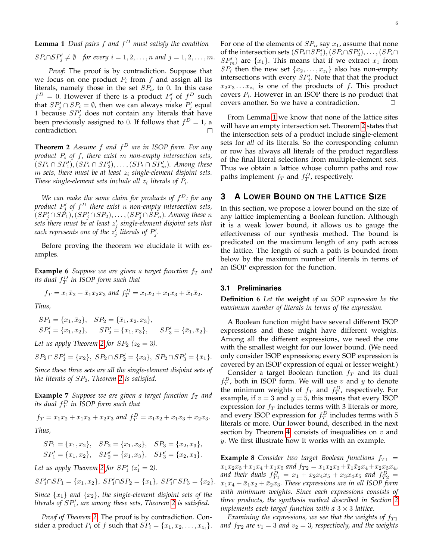**Lemma 1** *Dual pairs* f *and* f <sup>D</sup> *must satisfy the condition*

$$
SP_i \cap SP'_j \neq \emptyset
$$
 for every  $i = 1, 2, ..., n$  and  $j = 1, 2, ..., m$ .

*Proof:* The proof is by contradiction. Suppose that we focus on one product  $P_i$  from f and assign all its literals, namely those in the set  $SP_i$ , to 0. In this case  $f^D = 0$ . However if there is a product  $P'_j$  of  $f^D$  such that  $SP'_{j} \cap SP_{i} = \emptyset$ , then we can always make  $P'_{j}$  equal 1 because  $SP'_{j}$  does not contain any literals that have been previously assigned to 0. If follows that  $f^D = 1$ , a contradiction.  $\Box$ 

<span id="page-5-1"></span>**Theorem 2** *Assume* f *and* f <sup>D</sup> *are in ISOP form. For any product* P<sup>i</sup> *of* f*, there exist* m *non-empty intersection sets,*  $(SP_i \cap SP'_1), (SP_i \cap SP'_2), \ldots, (SP_i \cap SP'_m)$ . Among these  $m$  *sets, there must be at least*  $z_i$  *single-element disjoint sets.* These single-element sets include all  $z_i$  literals of  $P_i$ .

*We can make the same claim for products of* f <sup>D</sup>*: for any product* P 0 j *of* f <sup>D</sup> *there exist* n *non-empty intersection sets,*  $(SP_j' \cap SP_1), (SP_j' \cap SP_2), \ldots, (SP_j' \cap SP_n)$ . Among these n *sets there must be at least* z 0 j *single-element disjoint sets that* each represents one of the  $z_j^j$  literals of  $P'_j$ .

Before proving the theorem we elucidate it with examples.

**Example 6** *Suppose we are given a target function*  $f<sub>T</sub>$  *and its dual* f D T *in ISOP form such that*

$$
f_T = x_1 \bar{x}_2 + \bar{x}_1 x_2 x_3
$$
 and  $f_T^D = x_1 x_2 + x_1 x_3 + \bar{x}_1 \bar{x}_2$ .

*Thus,*

$$
SP_1 = \{x_1, \bar{x}_2\},
$$
  $SP_2 = \{\bar{x}_1, x_2, x_3\},$   
\n $SP'_1 = \{x_1, x_2\},$   $SP'_2 = \{x_1, x_3\},$   $SP'_3 = \{\bar{x}_1, \bar{x}_2\}.$ 

*Let us apply Theorem [2](#page-5-1) for*  $SP_2$  ( $z_2 = 3$ ).

$$
SP_2 \cap SP_1' = \{x_2\}, \ SP_2 \cap SP_2' = \{x_3\}, \ SP_2 \cap SP_3' = \{\bar{x}_1\}.
$$

*Since these three sets are all the single-element disjoint sets of the literals of* SP2*, Theorem [2](#page-5-1) is satisfied.*

**Example 7** Suppose we are given a target function  $f<sub>T</sub>$  and *its dual* f D T *in ISOP form such that*

$$
f_T = x_1x_2 + x_1x_3 + x_2x_3
$$
 and  $f_T^D = x_1x_2 + x_1x_3 + x_2x_3$ .

*Thus,*

$$
SP_1 = \{x_1, x_2\}, \quad SP_2 = \{x_1, x_3\}, \quad SP_3 = \{x_2, x_3\},
$$
  
\n $SP'_1 = \{x_1, x_2\}, \quad SP'_2 = \{x_1, x_3\}, \quad SP'_3 = \{x_2, x_3\}.$ 

Let us apply Theorem [2](#page-5-1) for  $SP'_1$  ( $z'_1 = 2$ ).

$$
SP'_1 \cap SP_1 = \{x_1, x_2\}, SP'_1 \cap SP_2 = \{x_1\}, SP'_1 \cap SP_3 = \{x_2\}.
$$

*Since*  $\{x_1\}$  *and*  $\{x_2\}$ *, the single-element disjoint sets of the literals of SP'<sub>1</sub>, are among these sets, Theorem [2](#page-5-1) is satisfied.* 

*Proof of Theorem [2](#page-5-1)*: The proof is by contradiction. Consider a product  $P_i$  of  $f$  such that  $SP_i = \{x_1, x_2, \ldots, x_{z_i}\}.$ 

For one of the elements of  $SP_i$ , say  $x_1$ , assume that none of the intersection sets  $(SP_i \cap SP'_1), (SP_i \cap SP'_2), \ldots, (SP_i \cap$  $SP'_m$ ) are  $\{x_1\}$ . This means that if we extract  $x_1$  from  $SP_i$  then the new set  $\{x_2, \ldots, x_{z_i}\}$  also has non-empty intersections with every  $SP'_{j}$ . Note that that the product  $x_2x_3 \ldots x_{z_i}$  is one of the products of f. This product covers  $P_i$ . However in an ISOP there is no product that covers another. So we have a contradiction.  $\Box$ 

From Lemma [1](#page-4-3) we know that none of the lattice sites will have an empty intersection set. Theorem [2](#page-5-1) states that the intersection sets of a product include single-element sets for *all* of its literals. So the corresponding column or row has always all literals of the product regardless of the final literal selections from multiple-element sets. Thus we obtain a lattice whose column paths and row paths implement  $f_T$  and  $f_T^D$ , respectively.

## <span id="page-5-0"></span>**3 A LOWER BOUND ON THE LATTICE SIZE**

In this section, we propose a lower bound on the size of any lattice implementing a Boolean function. Although it is a weak lower bound, it allows us to gauge the effectiveness of our synthesis method. The bound is predicated on the maximum length of any path across the lattice. The length of such a path is bounded from below by the maximum number of literals in terms of an ISOP expression for the function.

#### **3.1 Preliminaries**

**Definition 6** *Let the* **weight** *of an SOP expression be the maximum number of literals in terms of the expression.*

A Boolean function might have several different ISOP expressions and these might have different weights. Among all the different expressions, we need the one with the smallest weight for our lower bound. (We need only consider ISOP expressions; every SOP expression is covered by an ISOP expression of equal or lesser weight.)

Consider a target Boolean function  $f_T$  and its dual  $f_T^D$ , both in ISOP form. We will use v and y to denote the minimum weights of  $f_T$  and  $f_T^D$ , respectively. For example, if  $v = 3$  and  $y = 5$ , this means that every ISOP expression for  $f_T$  includes terms with 3 literals or more, and every ISOP expression for  $f_T^D$  includes terms with 5 literals or more. Our lower bound, described in the next section by Theorem [4,](#page-8-1) consists of inequalities on  $v$  and y. We first illustrate how it works with an example.

<span id="page-5-2"></span>**Example 8** *Consider two target Boolean functions*  $f_{T1}$  =  $x_1x_2x_3+x_1x_4+x_1x_5$  and  $f_{T2} = x_1x_2x_3+\overline{x}_1\overline{x}_2x_4+x_2x_3x_4$ , and their duals  $f_{T1}^D = x_1 + x_2x_4x_5 + x_3x_4x_5$  and  $f_{T2}^D =$  $x_1x_4 + \bar{x}_1x_2 + \bar{x}_2x_3$ . These expressions are in all ISOP form *with minimum weights. Since each expressions consists of three products, the synthesis method described in Section [2](#page-1-2) implements each target function with a*  $3 \times 3$  *lattice.* 

*Examining the expressions, we see that the weights of*  $f_{T1}$ and  $f_{T2}$  are  $v_1 = 3$  and  $v_2 = 3$ , respectively, and the weights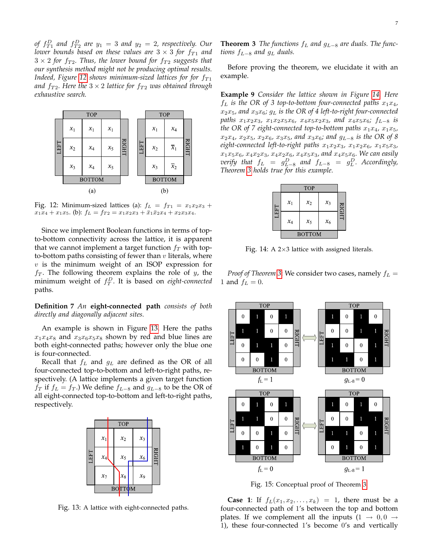of  $f_{T1}^D$  and  $f_{T2}^D$  are  $y_1 = 3$  and  $y_2 = 2$ , respectively. Our *lower bounds based on these values are*  $3 \times 3$  *for f*<sub>T1</sub> *and*  $3 \times 2$  for  $f_{T2}$ . Thus, the lower bound for  $f_{T2}$  suggests that *our synthesis method might not be producing optimal results. Indeed, Figure* [12](#page-6-0) *shows minimum-sized lattices for for*  $f_{T1}$ *and*  $f_{T2}$ *. Here the*  $3 \times 2$  *lattice for*  $f_{T2}$  *was obtained through exhaustive search.*



<span id="page-6-0"></span>Fig. 12: Minimum-sized lattices (a):  $f_L = f_{T1} = x_1x_2x_3 +$  $x_1x_4 + x_1x_5$ . (b):  $f_L = f_{T2} = x_1x_2x_3 + \bar{x}_1\bar{x}_2x_4 + x_2x_3x_4$ .

Since we implement Boolean functions in terms of topto-bottom connectivity across the lattice, it is apparent that we cannot implement a target function  $f<sub>T</sub>$  with topto-bottom paths consisting of fewer than  $v$  literals, where  $v$  is the minimum weight of an ISOP expression for  $f_T$ . The following theorem explains the role of y, the minimum weight of f D T . It is based on *eight-connected* paths.

**Definition 7** *An* **eight-connected path** *consists of both directly and diagonally adjacent sites.*

An example is shown in Figure [13.](#page-6-1) Here the paths  $x_1x_4x_8$  and  $x_3x_6x_5x_8$  shown by red and blue lines are both eight-connected paths; however only the blue one is four-connected.

Recall that  $f_L$  and  $g_L$  are defined as the OR of all four-connected top-to-bottom and left-to-right paths, respectively. (A lattice implements a given target function  $f_T$  if  $f_L = f_T$ .) We define  $f_{L-8}$  and  $g_{L-8}$  to be the OR of all eight-connected top-to-bottom and left-to-right paths, respectively.



<span id="page-6-3"></span><span id="page-6-1"></span>Fig. 13: A lattice with eight-connected paths.

**Theorem 3** *The functions*  $f<sub>L</sub>$  *and*  $g<sub>L−8</sub>$  *are duals. The functions*  $f_{L-8}$  *and*  $g_L$  *duals.* 

Before proving the theorem, we elucidate it with an example.

**Example 9** *Consider the lattice shown in Figure [14.](#page-6-2) Here*  $f_L$  *is the OR of 3 top-to-bottom four-connected paths*  $x_1x_4$ ,  $x_2x_5$ , and  $x_3x_6$ ;  $g_L$  is the OR of 4 left-to-right four-connected *paths*  $x_1x_2x_3$ ,  $x_1x_2x_5x_6$ ,  $x_4x_5x_2x_3$ , and  $x_4x_5x_6$ ;  $f_{L-8}$  *is the OR of 7 eight-connected top-to-bottom paths*  $x_1x_4$ ,  $x_1x_5$ , x2x4*,* x2x5*,* x2x6*,* x3x5*, and* x3x6*; and* gL−<sup>8</sup> *is the OR of 8*  $eight$ -connected left-to-right paths  $x_1x_2x_3$ ,  $x_1x_2x_6$ ,  $x_1x_5x_3$ ,  $x_1x_5x_6, x_4x_2x_3, x_4x_2x_6, x_4x_5x_3,$  and  $x_4x_5x_6$ *. We can easily*  $$ *Theorem [3](#page-6-3) holds true for this example.*

|            | TOP           |       |       |   |  |
|------------|---------------|-------|-------|---|--|
| <b>EFT</b> | $x_1$         | $x_2$ | $x_3$ | Š |  |
|            | $x_4$         | $x_5$ | $x_6$ |   |  |
|            | <b>BOTTOM</b> |       |       |   |  |

<span id="page-6-2"></span>Fig. 14: A  $2\times3$  lattice with assigned literals.

*Proof of Theorem* [3](#page-6-3): We consider two cases, namely  $f_L$  = 1 and  $f_L = 0$ .



<span id="page-6-4"></span>Fig. 15: Conceptual proof of Theorem [3.](#page-6-3)

**Case 1:** If  $f_L(x_1, x_2, ..., x_k) = 1$ , there must be a four-connected path of 1's between the top and bottom plates. If we complement all the inputs  $(1 \rightarrow 0, 0 \rightarrow$ 1), these four-connected 1's become 0's and vertically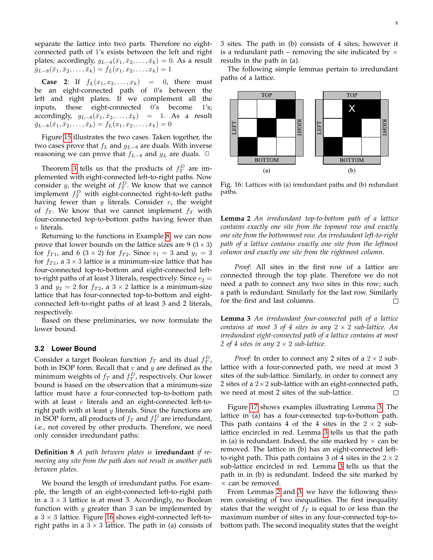separate the lattice into two parts. Therefore no eightconnected path of 1's exists between the left and right plates; accordingly,  $g_{L-8}(\bar{x}_1, \bar{x}_2, \ldots, \bar{x}_k) = 0$ . As a result  $\bar{g}_{L-8}(\bar{x}_1, \bar{x}_2, \ldots, \bar{x}_k) = f_L(x_1, x_2, \ldots, x_k) = 1$ 

**Case 2:** If  $f_L(x_1, x_2, ..., x_k) = 0$ , there must be an eight-connected path of 0's between the left and right plates. If we complement all the inputs, these eight-connected 0's become 1's; accordingly,  $g_{L-8}(\bar{x}_1, \bar{x}_2, \dots, \bar{x}_k)$  = 1. As a result  $\bar{g}_{L-8}(\bar{x}_1, \bar{x}_2, \ldots, \bar{x}_k) = f_L(x_1, x_2, \ldots, x_k) = 0$ 

Figure [15](#page-6-4) illustrates the two cases. Taken together, the two cases prove that  $f<sub>L</sub>$  and  $g<sub>L−8</sub>$  are duals. With inverse reasoning we can prove that  $f_{L-8}$  and  $g_L$  are duals.  $□$ 

Theorem [3](#page-6-3) tells us that the products of  $f_T^D$  are implemented with eight-connected left-to-right paths. Now consider *y*, the weight of  $f_T^D$ . We know that we cannot implement  $f_T^D$  with eight-connected right-to-left paths having fewer than  $y$  literals. Consider  $v$ , the weight of  $f_T$ . We know that we cannot implement  $f_T$  with four-connected top-to-bottom paths having fewer than v literals.

Returning to the functions in Example [8,](#page-5-2) we can now prove that lower bounds on the lattice sizes are 9 ( $3 \times 3$ ) for  $f_{T1}$ , and 6 (3 × 2) for  $f_{T2}$ . Since  $v_1 = 3$  and  $y_1 = 3$ for  $f_{T1}$ , a  $3 \times 3$  lattice is a minimum-size lattice that has four-connected top-to-bottom and eight-connected leftto-right paths of at least 3 literals, respectively. Since  $v_2 =$ 3 and  $y_2 = 2$  for  $f_{T2}$ , a  $3 \times 2$  lattice is a minimum-size lattice that has four-connected top-to-bottom and eightconnected left-to-right paths of at least 3 and 2 literals, respectively.

Based on these preliminaries, we now formulate the lower bound.

#### **3.2 Lower Bound**

Consider a target Boolean function  $f_T$  and its dual  $f_T^D$ , both in ISOP form. Recall that  $v$  and  $y$  are defined as the minimum weights of  $f_T$  and  $f_T^D$ , respectively. Our lower bound is based on the observation that a minimum-size lattice must have a four-connected top-to-bottom path with at least  $v$  literals and an eight-connected left-toright path with at least  $y$  literals. Since the functions are in ISOP form, all products of  $f_T$  and  $f_T^D$  are irredundant, i.e., not covered by other products. Therefore, we need only consider irredundant paths:

**Definition 8** *A path between plates is* **irredundant** *if removing any site from the path does not result in another path between plates.*

We bound the length of irredundant paths. For example, the length of an eight-connected left-to-right path in a  $3 \times 3$  lattice is at most 3. Accordingly, no Boolean function with  $y$  greater than 3 can be implemented by a  $3 \times 3$  lattice. Figure [16](#page-7-0) shows eight-connected left-toright paths in a  $3 \times 3$  lattice. The path in (a) consists of 3 sites. The path in (b) consists of 4 sites; however it is a redundant path – removing the site indicated by  $\times$ results in the path in (a).

The following simple lemmas pertain to irredundant paths of a lattice.



<span id="page-7-0"></span>Fig. 16: Lattices with (a) irredundant paths and (b) redundant paths.

<span id="page-7-2"></span>**Lemma 2** *An irredundant top-to-bottom path of a lattice contains exactly one site from the topmost row and exactly one site from the bottommost row. An irredundant left-to-right path of a lattice contains exactly one site from the leftmost column and exactly one site from the rightmost column.*

*Proof:* All sites in the first row of a lattice are connected through the top plate. Therefore we do not need a path to connect any two sites in this row; such a path is redundant. Similarly for the last row. Similarly for the first and last columns.  $\Box$ 

<span id="page-7-1"></span>**Lemma 3** *An irredundant four-connected path of a lattice contains at most 3 of 4 sites in any*  $2 \times 2$  *sub-lattice. An irredundant eight-connected path of a lattice contains at most 2 of 4 sites in any*  $2 \times 2$  *sub-lattice.* 

*Proof:* In order to connect any 2 sites of a  $2 \times 2$  sublattice with a four-connected path, we need at most 3 sites of the sub-lattice. Similarly, in order to connect any 2 sites of a  $2 \times 2$  sub-lattice with an eight-connected path, we need at most 2 sites of the sub-lattice.  $\Box$ 

Figure [17](#page-8-2) shows examples illustrating Lemma [3.](#page-7-1) The lattice in (a) has a four-connected top-to-bottom path. This path contains 4 of the 4 sites in the  $2 \times 2$  sublattice encircled in red. Lemma [3](#page-7-1) tells us that the path in (a) is redundant. Indeed, the site marked by  $\times$  can be removed. The lattice in (b) has an eight-connected leftto-right path. This path contains 3 of 4 sites in the  $2 \times 2$ sub-lattice encircled in red. Lemma [3](#page-7-1) tells us that the path in in (b) is redundant. Indeed the site marked by  $\times$  can be removed.

From Lemmas [2](#page-7-2) and [3,](#page-7-1) we have the following theorem consisting of two inequalities. The first inequality states that the weight of  $f<sub>T</sub>$  is equal to or less than the maximum number of sites in any four-connected top-tobottom path. The second inequality states that the weight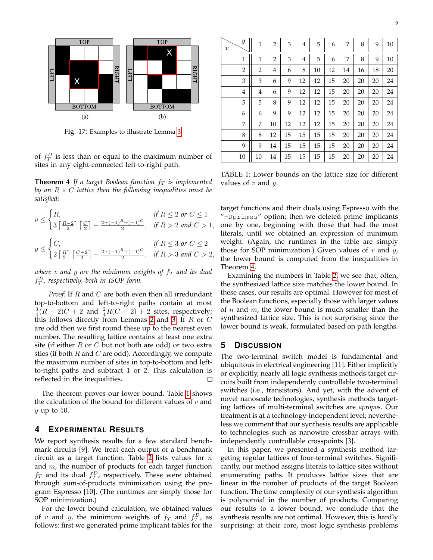

<span id="page-8-2"></span>Fig. 17: Examples to illustrate Lemma [3.](#page-7-1)

of  $f_T^D$  is less than or equal to the maximum number of sites in any eight-connected left-to-right path.

<span id="page-8-1"></span>**Theorem 4** *If a target Boolean function*  $f<sub>T</sub>$  *is implemented by an*  $R \times C$  *lattice then the following inequalities must be satisfied:*

$$
v \le \begin{cases} R, & \text{if } R \le 2 \text{ or } C \le 1 \\ 3\left\lceil \frac{R-2}{2} \right\rceil \left\lceil \frac{C}{2} \right\rceil + \frac{2+(-1)^R + (-1)^C}{2}, & \text{if } R > 2 \text{ and } C > 1, \end{cases}
$$
\n
$$
y \le \begin{cases} C, & \text{if } R \le 3 \text{ or } C \le 2 \\ 2\left\lceil \frac{R}{2} \right\rceil \left\lceil \frac{C-2}{2} \right\rceil + \frac{2+(-1)^R + (-1)^C}{2}, & \text{if } R > 3 \text{ and } C > 2, \end{cases}
$$

*where*  $v$  *and*  $y$  *are the minimum weights of*  $f<sub>T</sub>$  *and its dual* f D T *, respectively, both in ISOP form.*

*Proof:* If R and C are both even then all irredundant top-to-bottom and left-to-right paths contain at most  $\frac{3}{4}(R-2)C+2$  and  $\frac{2}{4}R(C-2)+2$  sites, respectively; this follows directly from Lemmas [2](#page-7-2) and [3.](#page-7-1) If  $R$  or  $C$ are odd then we first round these up to the nearest even number. The resulting lattice contains at least one extra site (if either  $R$  or  $C$  but not both are odd) or two extra sties (if both  $R$  and  $C$  are odd). Accordingly, we compute the maximum number of sites in top-to-bottom and leftto-right paths and subtract 1 or 2. This calculation is reflected in the inequalities.  $\Box$ 

The theorem proves our lower bound. Table [1](#page-8-3) shows the calculation of the bound for different values of  $v$  and  $y$  up to 10.

### <span id="page-8-0"></span>**4 EXPERIMENTAL RESULTS**

We report synthesis results for a few standard benchmark circuits [9]. We treat each output of a benchmark circuit as a target function. Table [2](#page-9-0) lists values for  $n$ and  $m$ , the number of products for each target function  $f_T$  and its dual  $f_T^D$ , respectively. These were obtained through sum-of-products minimization using the program Espresso [10]. (The runtimes are simply those for SOP minimization.)

For the lower bound calculation, we obtained values of v and y, the minimum weights of  $f_T$  and  $f_T^D$ , as follows: first we generated prime implicant tables for the

| y<br>υ         | $\mathbf{1}$   | $\overline{2}$ | 3  | $\overline{4}$ | 5  | 6  | 7  | 8  | 9  | 10 |
|----------------|----------------|----------------|----|----------------|----|----|----|----|----|----|
| $1\,$          | 1              | $\overline{2}$ | 3  | $\overline{4}$ | 5  | 6  | 7  | 8  | 9  | 10 |
| $\overline{2}$ | $\overline{2}$ | 4              | 6  | 8              | 10 | 12 | 14 | 16 | 18 | 20 |
| 3              | 3              | 6              | 9  | 12             | 12 | 15 | 20 | 20 | 20 | 24 |
| 4              | 4              | 6              | 9  | 12             | 12 | 15 | 20 | 20 | 20 | 24 |
| 5              | 5              | 8              | 9  | 12             | 12 | 15 | 20 | 20 | 20 | 24 |
| 6              | 6              | 9              | 9  | 12             | 12 | 15 | 20 | 20 | 20 | 24 |
| 7              | 7              | 10             | 12 | 12             | 12 | 15 | 20 | 20 | 20 | 24 |
| 8              | 8              | 12             | 15 | 15             | 15 | 15 | 20 | 20 | 20 | 24 |
| 9              | 9              | 14             | 15 | 15             | 15 | 15 | 20 | 20 | 20 | 24 |
| 10             | 10             | 14             | 15 | 15             | 15 | 15 | 20 | 20 | 20 | 24 |

<span id="page-8-3"></span>TABLE 1: Lower bounds on the lattice size for different values of  $v$  and  $y$ .

target functions and their duals using Espresso with the "-Dprimes" option; then we deleted prime implicants one by one, beginning with those that had the most literals, until we obtained an expression of minimum weight. (Again, the runtimes in the table are simply those for SOP minimization.) Given values of  $v$  and  $y$ , the lower bound is computed from the inequalities in Theorem [4.](#page-8-1)

Examining the numbers in Table [2,](#page-9-0) we see that, often, the synthesized lattice size matches the lower bound. In these cases, our results are optimal. However for most of the Boolean functions, especially those with larger values of *n* and *m*, the lower bound is much smaller than the synthesized lattice size. This is not surprising since the lower bound is weak, formulated based on path lengths.

## **5 DISCUSSION**

The two-terminal switch model is fundamental and ubiquitous in electrical engineering [11]. Either implicitly or explicitly, nearly all logic synthesis methods target circuits built from independently controllable two-terminal switches (i.e., transistors). And yet, with the advent of novel nanoscale technologies, synthesis methods targeting lattices of multi-terminal switches are *apropos*. Our treatment is at a technology-independent level; nevertheless we comment that our synthesis results are applicable to technologies such as nanowire crossbar arrays with independently controllable crosspoints [3].

In this paper, we presented a synthesis method targeting regular lattices of four-terminal switches. Significantly, our method assigns literals to lattice sites without enumerating paths. It produces lattice sizes that are linear in the number of products of the target Boolean function. The time complexity of our synthesis algorithm is polynomial in the number of products. Comparing our results to a lower bound, we conclude that the synthesis results are not optimal. However, this is hardly surprising: at their core, most logic synthesis problems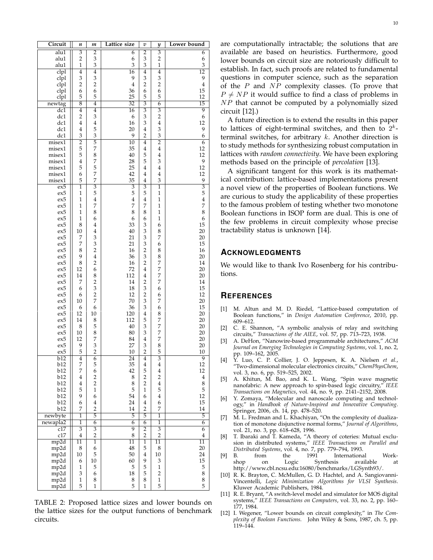| Circuit                 | n                         | m                       | Lattice size    | υ              | y                         | Lower bound             |
|-------------------------|---------------------------|-------------------------|-----------------|----------------|---------------------------|-------------------------|
| alu1                    | 3                         | $\overline{2}$          | 6               | $\overline{2}$ | 3                         | 6                       |
| alu1                    | $\overline{c}$            | 3                       | 6               | 3              | $\overline{2}$            | 6                       |
| alu1                    | 1                         | 3                       | 3               | 3              | $\mathbf{1}$              | 3                       |
| clpl                    | $\overline{4}$            | $\overline{4}$          | $\overline{16}$ | 4              | $\overline{4}$            | $\overline{12}$         |
|                         |                           |                         |                 |                |                           |                         |
| clpl                    | 3                         | 3                       | 9               | 3              | 3                         | 9                       |
| clpl                    | $\overline{2}$            | $\overline{\mathbf{c}}$ | $\overline{4}$  | $\overline{c}$ | $\overline{c}$            | $\overline{4}$          |
| clpl                    | 6                         | 6                       | 36              | 6              | 6                         | 15                      |
| clpl                    | 5                         | 5                       | 25              | 5              | 5                         | 12                      |
| newtag                  | $\overline{8}$            | $\overline{4}$          | $\overline{32}$ | $\overline{3}$ | $\overline{6}$            | $\overline{15}$         |
| dc1                     | $\overline{4}$            | $\overline{4}$          | $\overline{16}$ | $\overline{3}$ | $\overline{3}$            | $\overline{9}$          |
| dc1                     | 2                         | 3                       | 6               | 3              | $\overline{2}$            | 6                       |
| dc1                     | 4                         | $\overline{4}$          | 16              | 3              | $\bf 4$                   | 12                      |
|                         |                           |                         |                 |                |                           |                         |
| dc1                     | 4                         | 5                       | 20              | 4              | 3                         | 9                       |
| dc1                     | 3                         | 3                       | 9               | $\overline{2}$ | 3                         | 6                       |
| misex1                  | $\overline{2}$            | 5                       | $\overline{10}$ | $\overline{4}$ | $\overline{2}$            | 6                       |
| misex1                  | 5                         | 7                       | 35              | 4              | 4                         | 12                      |
| misex1                  | 5                         | 8                       | 40              | 5              | 4                         | 12                      |
| misex1                  | $\overline{4}$            | 7                       | 28              | 5              | 3                         | 9                       |
| misex1                  | 5                         | 5                       | 25              | 4              | 4                         | 12                      |
|                         |                           | 7                       | 42              |                |                           | 12                      |
| misex1                  | 6                         |                         |                 | 4              | 4                         |                         |
| misex1                  | 5                         | 7                       | 35              | $\overline{4}$ | 3                         | 9                       |
| $\overline{\text{ex5}}$ | 1                         | $\overline{3}$          | $\overline{3}$  | $\overline{3}$ | 1                         | $\overline{3}$          |
| ex5                     | 1                         | 5                       | 5               | 5              | 1                         | 5                       |
| ex5                     | 1                         | $\overline{4}$          | $\overline{4}$  | 4              | 1                         | $\overline{4}$          |
| ex5                     | 1                         | 7                       | 7               | 7              | 1                         | 7                       |
| ex5                     | 1                         | 8                       | 8               | 8              | 1                         | 8                       |
|                         |                           |                         |                 |                |                           |                         |
| ex5                     | 1                         | 6                       | 6               | 6              | 1                         | 6                       |
| ex5                     | 8                         | 4                       | 33              | 3              | 6                         | 15                      |
| ex5                     | 10                        | 4                       | 40              | 3              | 8                         | 20                      |
| ex5                     | 7                         | 3                       | 21              | 3              | 7                         | 20                      |
| ex5                     | 7                         | 3                       | 21              | 3              | 6                         | 15                      |
| ex5                     | 8                         | 2                       | 16              | $\overline{c}$ | 8                         | 16                      |
|                         | 9                         |                         |                 |                |                           | 20                      |
| ex5                     |                           | 4                       | 36              | 3              | 8                         |                         |
| ex5                     | 8                         | 2                       | 16              | $\overline{2}$ | 7                         | 14                      |
| ex5                     | 12                        | 6                       | 72              | 4              | 7                         | 20                      |
| ex5                     | 14                        | 8                       | 112             | 4              | 7                         | 20                      |
| ex5                     | 7                         | $\overline{2}$          | 14              | 2              | 7                         | 14                      |
| ex5                     | 6                         | 3                       | 18              | 3              | 6                         | 15                      |
| ex5                     | 6                         | $\overline{c}$          | 12              | $\overline{c}$ | 6                         | 12                      |
|                         |                           | 7                       | 70              | 3              | 7                         | 20                      |
| ex5                     | 10                        |                         |                 |                |                           |                         |
| ex5                     | 6                         | 6                       | 36              | 3              | 6                         | 15                      |
| ex5                     | 12                        | 10                      | 120             | 4              | 8                         | 20                      |
| ex5                     | 14                        | 8                       | 112             | 5              | 7                         | 20                      |
| ex5                     | 8                         | 5                       | 40              | 3              | 7                         | 20                      |
| ex5                     | 10                        | 8                       | 80              | 3              | 7                         | 20                      |
| ex5                     | 12                        | 7                       | 84              | 4              | 7                         | 20                      |
|                         |                           |                         |                 |                |                           |                         |
| ex5                     | 9                         | 3                       | 27              | 3              | 8                         | 20                      |
| ex5                     | 5                         | $\overline{c}$          | 10              | $\overline{2}$ | 5                         | 10                      |
| b12                     | 4                         | 6                       | 24              | 4              | 3                         | 9                       |
| b12                     | 7                         | 5                       | 35              | 4              | 4                         | 12                      |
| b12                     | 7                         | 6                       | 42              | 5              | $\bf 4$                   | 12                      |
| b12                     | $\overline{\mathbf{4}}$   | $\overline{\mathbf{c}}$ | 8               | $\overline{c}$ | $\overline{\mathbf{c}}$   | $\overline{\mathbf{4}}$ |
| b12                     | $\overline{\mathbf{4}}$   | $\overline{c}$          | 8               | $\overline{c}$ | $\overline{4}$            | 8                       |
| b12                     | 5                         | $\mathbf{1}$            | 5               | $\mathbf{1}$   | 5                         | 5                       |
| b12                     | 9                         |                         |                 |                |                           |                         |
|                         |                           | 6                       | 54              | 6              | $\overline{4}$            | 12                      |
| b12                     | 6                         | $\overline{4}$          | 24              | $\overline{4}$ | 6                         | 15                      |
| b12                     | 7                         | $\overline{2}$          | 14              | $\overline{2}$ | 7                         | 14                      |
| newbyte                 | 1                         | $\overline{5}$          | 5               | $\overline{5}$ | 1                         | 5                       |
| newapla2                | $\overline{1}$            | $\overline{6}$          | 6               | $\overline{6}$ | $\overline{1}$            | $\overline{6}$          |
| c17                     | $\overline{\overline{3}}$ | $\overline{3}$          | $\overline{9}$  | $\overline{2}$ | $\overline{\overline{3}}$ | $\overline{6}$          |
| c17                     | $\overline{4}$            | $\overline{2}$          | 8               | $\overline{2}$ | $\overline{2}$            | $\overline{4}$          |
| mp2d                    |                           |                         |                 |                |                           |                         |
|                         | 11                        | 1                       | 11              | $\mathbf{1}$   | 11                        | 11                      |
| mp2d                    | 8                         | 6                       | 48              | 5              | 8                         | 20                      |
| mp2d                    | 10                        | 5                       | 50              | $\overline{4}$ | 10                        | 24                      |
| mp2d                    | 6                         | 10                      | 60              | 9              | 3                         | 15                      |
| mp2d                    | $\mathbf{1}$              | 5                       | 5               | 5              | 1                         | 5                       |
| mp2d                    | 3                         | 6                       | 18              | 5              | $\sqrt{2}$                | 8                       |
| mp2d                    | $\,1$                     | 8                       | 8               | 8              | $\mathbf{1}$              | 8                       |
| mp2d                    | 5                         | $\mathbf{1}$            | 5               | $\mathbf{1}$   | 5                         | $\overline{5}$          |
|                         |                           |                         |                 |                |                           |                         |

<span id="page-9-0"></span>TABLE 2: Proposed lattice sizes and lower bounds on the lattice sizes for the output functions of benchmark circuits.

are computationally intractable; the solutions that are available are based on heuristics. Furthermore, good lower bounds on circuit size are notoriously difficult to establish. In fact, such proofs are related to fundamental questions in computer science, such as the separation of the  $P$  and  $NP$  complexity classes. (To prove that  $P \neq NP$  it would suffice to find a class of problems in NP that cannot be computed by a polynomially sized circuit [12].)

A future direction is to extend the results in this paper to lattices of eight-terminal switches, and then to  $2^k$ terminal switches, for arbitrary  $k$ . Another direction is to study methods for synthesizing robust computation in lattices with *random connectivity*. We have been exploring methods based on the principle of *percolation* [13].

A significant tangent for this work is its mathematical contribution: lattice-based implementations present a novel view of the properties of Boolean functions. We are curious to study the applicability of these properties to the famous problem of testing whether two monotone Boolean functions in ISOP form are dual. This is one of the few problems in circuit complexity whose precise tractability status is unknown [14].

## **ACKNOWLEDGMENTS**

We would like to thank Ivo Rosenberg for his contributions.

# **REFERENCES**

- [1] M. Altun and M. D. Riedel, "Lattice-based computation of Boolean functions," in *Design Automation Conference*, 2010, pp. 609–612.
- [2] C. E. Shannon, "A symbolic analysis of relay and switching circuits," *Transactions of the AIEE*, vol. 57, pp. 713–723, 1938.
- [3] A. DeHon, "Nanowire-based programmable architectures," *ACM Journal on Emerging Technologies in Computing Systems*, vol. 1, no. 2, pp. 109–162, 2005.
- [4] Y. Luo, C. P. Collier, J. O. Jeppesen, K. A. Nielsen *et al.*, "Two-dimensional molecular electronics circuits," *ChemPhysChem*, vol. 3, no. 6, pp. 519–525, 2002.
- [5] A. Khitun, M. Bao, and K. L. Wang, "Spin wave magnetic nanofabric: A new approach to spin-based logic circuitry," *IEEE Transactions on Magnetics*, vol. 44, no. 9, pp. 2141–2152, 2008.
- [6] Y. Zomaya, "Molecular and nanoscale computing and technology," in *Handbook of Nature-Inspired and Innovative Computing*. Springer, 2006, ch. 14, pp. 478–520.
- [7] M. L. Fredman and L. Khachiyan, "On the complexity of dualization of monotone disjunctive normal forms," *Journal of Algorithms*, vol. 21, no. 3, pp. 618–628, 1996.
- [8] T. Ibaraki and T. Kameda, "A theory of coteries: Mutual exclusion in distributed systems," *IEEE Transactions on Parallel and Distributed Systems*, vol. 4, no. 7, pp. 779–794, 1993.
- [9] B. from the 1991 International Workon Logic Synthesis available at http://www.cbl.ncsu.edu:16080/benchmarks/LGSynth93/.
- [10] R. K. Brayton, C. McMullen, G. D. Hachtel, and A. Sangiovanni-Vincentelli, *Logic Minimization Algorithms for VLSI Synthesis*. Kluwer Academic Publishers, 1984.
- [11] R. E. Bryant, "A switch-level model and simulator for MOS digital systems," *IEEE Transactions on Computers*, vol. 33, no. 2, pp. 160– 177, 1984.
- [12] I. Wegener, "Lower bounds on circuit complexity," in *The Complexity of Boolean Functions*. John Wiley & Sons, 1987, ch. 5, pp. 119–144.